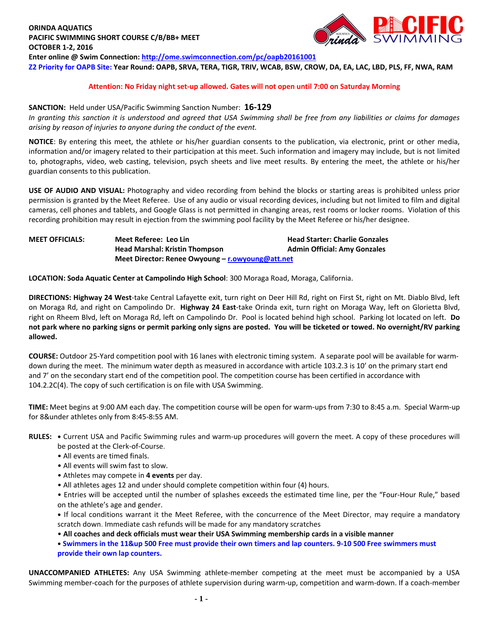# **ORINDA AQUATICS PACIFIC SWIMMING SHORT COURSE C/B/BB+ MEET OCTOBER 1-2, 2016**



**Enter online @ Swim Connection[: http://ome.swimconnection.com/pc/oapb20161001](http://ome.swimconnection.com/pc/oapb20161001) Z2 Priority for OAPB Site: Year Round: OAPB, SRVA, TERA, TIGR, TRIV, WCAB, BSW, CROW, DA, EA, LAC, LBD, PLS, FF, NWA, RAM**

## **Attention: No Friday night set-up allowed. Gates will not open until 7:00 on Saturday Morning**

## **SANCTION:** Held under USA/Pacific Swimming Sanction Number: **16-129**

*In granting this sanction it is understood and agreed that USA Swimming shall be free from any liabilities or claims for damages arising by reason of injuries to anyone during the conduct of the event.*

**NOTICE**: By entering this meet, the athlete or his/her guardian consents to the publication, via electronic, print or other media, information and/or imagery related to their participation at this meet. Such information and imagery may include, but is not limited to, photographs, video, web casting, television, psych sheets and live meet results. By entering the meet, the athlete or his/her guardian consents to this publication.

**USE OF AUDIO AND VISUAL:** Photography and video recording from behind the blocks or starting areas is prohibited unless prior permission is granted by the Meet Referee. Use of any audio or visual recording devices, including but not limited to film and digital cameras, cell phones and tablets, and Google Glass is not permitted in changing areas, rest rooms or locker rooms. Violation of this recording prohibition may result in ejection from the swimming pool facility by the Meet Referee or his/her designee.

## **MEET OFFICIALS: Meet Referee: Leo Lin Head Starter: Charlie Gonzales Head Marshal: Kristin Thompson Admin Official: Amy Gonzales Meet Director: Renee Owyoung – [r.owyoung@att.net](mailto:r.owyoung@att.net)**

**LOCATION: Soda Aquatic Center at Campolindo High School**: 300 Moraga Road, Moraga, California.

**DIRECTIONS: Highway 24 West**-take Central Lafayette exit, turn right on Deer Hill Rd, right on First St, right on Mt. Diablo Blvd, left on Moraga Rd, and right on Campolindo Dr. **Highway 24 East**-take Orinda exit, turn right on Moraga Way, left on Glorietta Blvd, right on Rheem Blvd, left on Moraga Rd, left on Campolindo Dr. Pool is located behind high school. Parking lot located on left. **Do not park where no parking signs or permit parking only signs are posted. You will be ticketed or towed. No overnight/RV parking allowed.**

**COURSE:** Outdoor 25-Yard competition pool with 16 lanes with electronic timing system. A separate pool will be available for warmdown during the meet. The minimum water depth as measured in accordance with article 103.2.3 is 10' on the primary start end and 7' on the secondary start end of the competition pool. The competition course has been certified in accordance with 104.2.2C(4). The copy of such certification is on file with USA Swimming.

**TIME:** Meet begins at 9:00 AM each day. The competition course will be open for warm-ups from 7:30 to 8:45 a.m. Special Warm-up for 8&under athletes only from 8:45-8:55 AM.

#### **RULES: •** Current USA and Pacific Swimming rules and warm-up procedures will govern the meet. A copy of these procedures will be posted at the Clerk-of-Course.

- All events are timed finals.
- All events will swim fast to slow.
- Athletes may compete in **4 events** per day.
- All athletes ages 12 and under should complete competition within four (4) hours.
- Entries will be accepted until the number of splashes exceeds the estimated time line, per the "Four-Hour Rule," based on the athlete's age and gender.

**•** If local conditions warrant it the Meet Referee, with the concurrence of the Meet Director, may require a mandatory scratch down. Immediate cash refunds will be made for any mandatory scratches

- **All coaches and deck officials must wear their USA Swimming membership cards in a visible manner**
- **• Swimmers in the 11&up 500 Free must provide their own timers and lap counters. 9-10 500 Free swimmers must provide their own lap counters.**

**UNACCOMPANIED ATHLETES:** Any USA Swimming athlete-member competing at the meet must be accompanied by a USA Swimming member-coach for the purposes of athlete supervision during warm-up, competition and warm-down. If a coach-member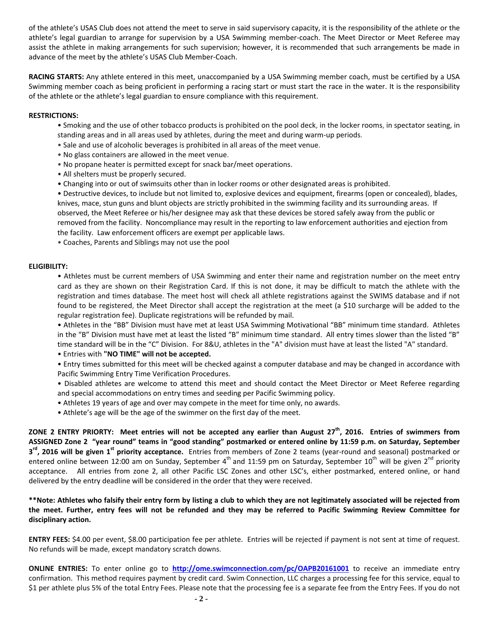of the athlete's USAS Club does not attend the meet to serve in said supervisory capacity, it is the responsibility of the athlete or the athlete's legal guardian to arrange for supervision by a USA Swimming member-coach. The Meet Director or Meet Referee may assist the athlete in making arrangements for such supervision; however, it is recommended that such arrangements be made in advance of the meet by the athlete's USAS Club Member-Coach.

**RACING STARTS:** Any athlete entered in this meet, unaccompanied by a USA Swimming member coach, must be certified by a USA Swimming member coach as being proficient in performing a racing start or must start the race in the water. It is the responsibility of the athlete or the athlete's legal guardian to ensure compliance with this requirement.

### **RESTRICTIONS:**

- Smoking and the use of other tobacco products is prohibited on the pool deck, in the locker rooms, in spectator seating, in standing areas and in all areas used by athletes, during the meet and during warm-up periods.
- Sale and use of alcoholic beverages is prohibited in all areas of the meet venue.
- No glass containers are allowed in the meet venue.
- No propane heater is permitted except for snack bar/meet operations.
- All shelters must be properly secured.
- Changing into or out of swimsuits other than in locker rooms or other designated areas is prohibited.

• Destructive devices, to include but not limited to, explosive devices and equipment, firearms (open or concealed), blades, knives, mace, stun guns and blunt objects are strictly prohibited in the swimming facility and its surrounding areas. If observed, the Meet Referee or his/her designee may ask that these devices be stored safely away from the public or removed from the facility. Noncompliance may result in the reporting to law enforcement authorities and ejection from the facility. Law enforcement officers are exempt per applicable laws.

• Coaches, Parents and Siblings may not use the pool

### **ELIGIBILITY:**

• Athletes must be current members of USA Swimming and enter their name and registration number on the meet entry card as they are shown on their Registration Card. If this is not done, it may be difficult to match the athlete with the registration and times database. The meet host will check all athlete registrations against the SWIMS database and if not found to be registered, the Meet Director shall accept the registration at the meet (a \$10 surcharge will be added to the regular registration fee). Duplicate registrations will be refunded by mail.

• Athletes in the "BB" Division must have met at least USA Swimming Motivational "BB" minimum time standard. Athletes in the "B" Division must have met at least the listed "B" minimum time standard. All entry times slower than the listed "B" time standard will be in the "C" Division. For 8&U, athletes in the "A" division must have at least the listed "A" standard.

• Entries with **"NO TIME" will not be accepted.**

• Entry times submitted for this meet will be checked against a computer database and may be changed in accordance with Pacific Swimming Entry Time Verification Procedures.

• Disabled athletes are welcome to attend this meet and should contact the Meet Director or Meet Referee regarding and special accommodations on entry times and seeding per Pacific Swimming policy.

- Athletes 19 years of age and over may compete in the meet for time only, no awards.
- Athlete's age will be the age of the swimmer on the first day of the meet.

**ZONE 2 ENTRY PRIORTY: Meet entries will not be accepted any earlier than August 27th, 2016. Entries of swimmers from ASSIGNED Zone 2 "year round" teams in "good standing" postmarked or entered online by 11:59 p.m. on Saturday, September 3 rd, 2016 will be given 1st priority acceptance.** Entries from members of Zone 2 teams (year-round and seasonal) postmarked or entered online between 12:00 am on Sunday, September 4<sup>th</sup> and 11:59 pm on Saturday, September 10<sup>th</sup> will be given 2<sup>nd</sup> priority acceptance. All entries from zone 2, all other Pacific LSC Zones and other LSC's, either postmarked, entered online, or hand delivered by the entry deadline will be considered in the order that they were received.

**\*\*Note: Athletes who falsify their entry form by listing a club to which they are not legitimately associated will be rejected from the meet. Further, entry fees will not be refunded and they may be referred to Pacific Swimming Review Committee for disciplinary action.**

**ENTRY FEES:** \$4.00 per event, \$8.00 participation fee per athlete. Entries will be rejected if payment is not sent at time of request. No refunds will be made, except mandatory scratch downs.

**ONLINE ENTRIES:** To enter online go to **<http://ome.swimconnection.com/pc/OAPB20161001>** to receive an immediate entry confirmation. This method requires payment by credit card. Swim Connection, LLC charges a processing fee for this service, equal to \$1 per athlete plus 5% of the total Entry Fees. Please note that the processing fee is a separate fee from the Entry Fees. If you do not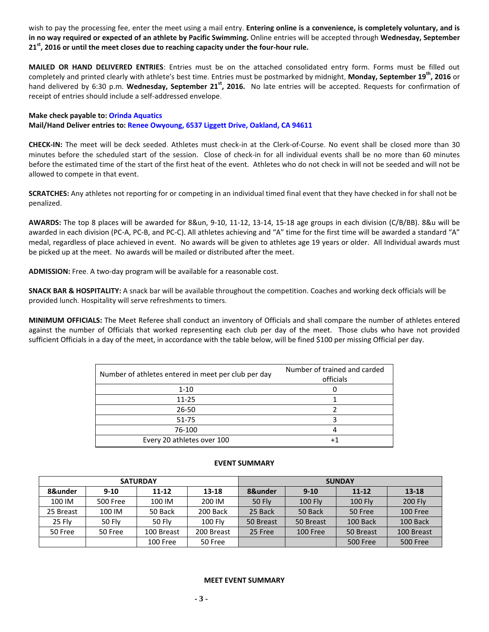wish to pay the processing fee, enter the meet using a mail entry. **Entering online is a convenience, is completely voluntary, and is in no way required or expected of an athlete by Pacific Swimming.** Online entries will be accepted through **Wednesday, September 21 st, 2016 or until the meet closes due to reaching capacity under the four-hour rule.** 

**MAILED OR HAND DELIVERED ENTRIES**: Entries must be on the attached consolidated entry form. Forms must be filled out completely and printed clearly with athlete's best time. Entries must be postmarked by midnight, **Monday, September 19th, 2016** or hand delivered by 6:30 p.m. **Wednesday, September 21st, 2016.** No late entries will be accepted. Requests for confirmation of receipt of entries should include a self-addressed envelope.

**Make check payable to: Orinda Aquatics Mail/Hand Deliver entries to: Renee Owyoung, 6537 Liggett Drive, Oakland, CA 94611**

**CHECK-IN:** The meet will be deck seeded. Athletes must check-in at the Clerk-of-Course. No event shall be closed more than 30 minutes before the scheduled start of the session. Close of check-in for all individual events shall be no more than 60 minutes before the estimated time of the start of the first heat of the event. Athletes who do not check in will not be seeded and will not be allowed to compete in that event.

**SCRATCHES:** Any athletes not reporting for or competing in an individual timed final event that they have checked in for shall not be penalized.

**AWARDS:** The top 8 places will be awarded for 8&un, 9-10, 11-12, 13-14, 15-18 age groups in each division (C/B/BB). 8&u will be awarded in each division (PC-A, PC-B, and PC-C). All athletes achieving and "A" time for the first time will be awarded a standard "A" medal, regardless of place achieved in event. No awards will be given to athletes age 19 years or older. All Individual awards must be picked up at the meet. No awards will be mailed or distributed after the meet.

**ADMISSION:** Free. A two-day program will be available for a reasonable cost.

**SNACK BAR & HOSPITALITY:** A snack bar will be available throughout the competition. Coaches and working deck officials will be provided lunch. Hospitality will serve refreshments to timers.

**MINIMUM OFFICIALS:** The Meet Referee shall conduct an inventory of Officials and shall compare the number of athletes entered against the number of Officials that worked representing each club per day of the meet. Those clubs who have not provided sufficient Officials in a day of the meet, in accordance with the table below, will be fined \$100 per missing Official per day.

| Number of athletes entered in meet per club per day | Number of trained and carded |  |  |  |  |  |
|-----------------------------------------------------|------------------------------|--|--|--|--|--|
|                                                     | officials                    |  |  |  |  |  |
| $1 - 10$                                            |                              |  |  |  |  |  |
| $11 - 25$                                           |                              |  |  |  |  |  |
| 26-50                                               |                              |  |  |  |  |  |
| $51 - 75$                                           |                              |  |  |  |  |  |
| 76-100                                              |                              |  |  |  |  |  |
| Every 20 athletes over 100                          |                              |  |  |  |  |  |

|           |                 | <b>SATURDAY</b> |            | <b>SUNDAY</b> |                |                 |                |  |  |  |
|-----------|-----------------|-----------------|------------|---------------|----------------|-----------------|----------------|--|--|--|
| 8&under   | $9-10$          | $11 - 12$       | 13-18      | 8&under       | $9 - 10$       | $11 - 12$       | $13 - 18$      |  |  |  |
| 100 IM    | <b>500 Free</b> | 100 IM          | 200 IM     | <b>50 Fly</b> | <b>100 Fly</b> | $100$ Fly       | <b>200 Fly</b> |  |  |  |
| 25 Breast | 100 IM          | 50 Back         | 200 Back   | 25 Back       | 50 Back        | 50 Free         | 100 Free       |  |  |  |
| 25 Fly    | 50 Fly          | <b>50 Flv</b>   | $100$ Fly  | 50 Breast     | 50 Breast      | 100 Back        | 100 Back       |  |  |  |
| 50 Free   | 50 Free         | 100 Breast      | 200 Breast | 25 Free       | 100 Free       | 50 Breast       | 100 Breast     |  |  |  |
|           |                 | 100 Free        | 50 Free    |               |                | <b>500 Free</b> | 500 Free       |  |  |  |

### **EVENT SUMMARY**

#### **MEET EVENT SUMMARY**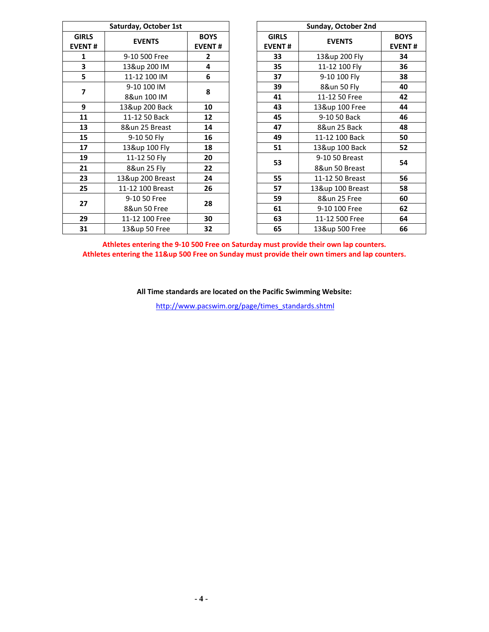| Saturday, October 1st         |                  |                              |    | Sunday, October 2nd           |                  |                           |  |  |  |
|-------------------------------|------------------|------------------------------|----|-------------------------------|------------------|---------------------------|--|--|--|
| <b>GIRLS</b><br><b>EVENT#</b> | <b>EVENTS</b>    | <b>BOYS</b><br><b>EVENT#</b> |    | <b>GIRLS</b><br><b>EVENT#</b> | <b>EVENTS</b>    | <b>BOY</b><br><b>EVEN</b> |  |  |  |
| 1                             | 9-10 500 Free    | $\overline{2}$               |    | 33                            | 13&up 200 Fly    | 34                        |  |  |  |
| 3                             | 13&up 200 IM     | 4                            |    | 35                            | 11-12 100 Fly    | 36                        |  |  |  |
| 5                             | 11-12 100 IM     | 6                            |    | 37                            | 9-10 100 Fly     | 38                        |  |  |  |
| $\overline{\mathbf{z}}$       | 9-10 100 IM      |                              | 39 | 8&un 50 Fly                   | 40               |                           |  |  |  |
|                               | 8&un 100 IM      | 8                            |    | 41                            | 11-12 50 Free    | 42                        |  |  |  |
| 9                             | 13&up 200 Back   | 10                           |    | 43                            | 13&up 100 Free   | 44                        |  |  |  |
| 11                            | 11-12 50 Back    | 12                           |    | 45                            | 9-10 50 Back     | 46                        |  |  |  |
| 13                            | 8&un 25 Breast   | 14                           |    | 47                            | 8&un 25 Back     | 48                        |  |  |  |
| 15                            | 9-10 50 Fly      | 16                           |    | 49                            | 11-12 100 Back   | 50                        |  |  |  |
| 17                            | 13&up 100 Fly    | 18                           |    | 51                            | 13&up 100 Back   | 52                        |  |  |  |
| 19                            | 11-12 50 Fly     | 20                           |    | 53                            | 9-10 50 Breast   | 54                        |  |  |  |
| 21                            | 8&un 25 Fly      | 22                           |    |                               | 8&un 50 Breast   |                           |  |  |  |
| 23                            | 13&up 200 Breast | 24                           |    | 55                            | 11-12 50 Breast  | 56                        |  |  |  |
| 25                            | 11-12 100 Breast | 26                           |    | 57                            | 13&up 100 Breast | 58                        |  |  |  |
|                               | 9-10 50 Free     |                              |    | 59                            | 8&un 25 Free     | 60                        |  |  |  |
| 27                            | 8&un 50 Free     | 28                           |    | 61                            | 9-10 100 Free    | 62                        |  |  |  |
| 29                            | 11-12 100 Free   | 30                           |    | 63                            | 11-12 500 Free   | 64                        |  |  |  |
| 31                            | 13&up 50 Free    | 32                           |    | 65                            | 13&up 500 Free   | 66                        |  |  |  |

| Sunday, October 2nd |                  |               |  |  |  |  |  |  |
|---------------------|------------------|---------------|--|--|--|--|--|--|
| <b>GIRLS</b>        | <b>EVENTS</b>    | <b>BOYS</b>   |  |  |  |  |  |  |
| <b>EVENT#</b>       |                  | <b>EVENT#</b> |  |  |  |  |  |  |
| 33                  | 13&up 200 Fly    | 34            |  |  |  |  |  |  |
| 35                  | 11-12 100 Fly    | 36            |  |  |  |  |  |  |
| 37                  | 9-10 100 Fly     | 38            |  |  |  |  |  |  |
| 39                  | 8&un 50 Fly      | 40            |  |  |  |  |  |  |
| 41                  | 11-12 50 Free    | 42            |  |  |  |  |  |  |
| 43                  | 13&up 100 Free   | 44            |  |  |  |  |  |  |
| 45                  | 9-10 50 Back     | 46            |  |  |  |  |  |  |
| 47                  | 8&un 25 Back     | 48            |  |  |  |  |  |  |
| 49                  | 11-12 100 Back   | 50            |  |  |  |  |  |  |
| 51                  | 13&up 100 Back   | 52            |  |  |  |  |  |  |
| 53                  | 9-10 50 Breast   | 54            |  |  |  |  |  |  |
|                     | 8&un 50 Breast   |               |  |  |  |  |  |  |
| 55                  | 11-12 50 Breast  | 56            |  |  |  |  |  |  |
| 57                  | 13&up 100 Breast | 58            |  |  |  |  |  |  |
| 59                  | 8&un 25 Free     | 60            |  |  |  |  |  |  |
| 61                  | 9-10 100 Free    | 62            |  |  |  |  |  |  |
| 63                  | 11-12 500 Free   | 64            |  |  |  |  |  |  |
| 65                  | 13&up 500 Free   | 66            |  |  |  |  |  |  |

**Athletes entering the 9-10 500 Free on Saturday must provide their own lap counters. Athletes entering the 11&up 500 Free on Sunday must provide their own timers and lap counters.**

**All Time standards are located on the Pacific Swimming Website:**

[http://www.pacswim.org/page/times\\_standards.shtml](http://www.pacswim.org/page/times_standards.shtml)